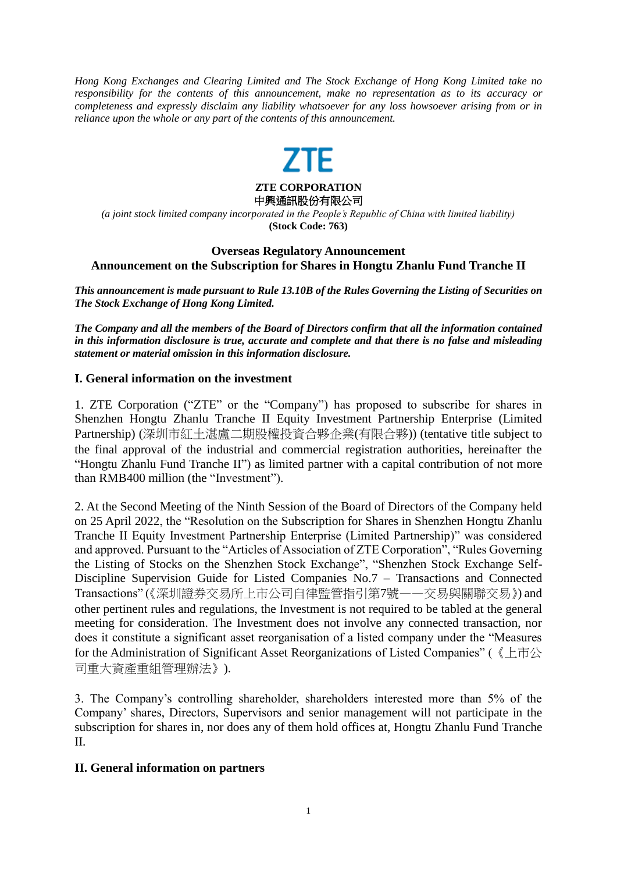*Hong Kong Exchanges and Clearing Limited and The Stock Exchange of Hong Kong Limited take no responsibility for the contents of this announcement, make no representation as to its accuracy or completeness and expressly disclaim any liability whatsoever for any loss howsoever arising from or in reliance upon the whole or any part of the contents of this announcement.*



*(a joint stock limited company incorporated in the People's Republic of China with limited liability)* **(Stock Code: 763)**

# **Overseas Regulatory Announcement Announcement on the Subscription for Shares in Hongtu Zhanlu Fund Tranche II**

*This announcement is made pursuant to Rule 13.10B of the Rules Governing the Listing of Securities on The Stock Exchange of Hong Kong Limited.*

*The Company and all the members of the Board of Directors confirm that all the information contained in this information disclosure is true, accurate and complete and that there is no false and misleading statement or material omission in this information disclosure.*

#### **I. General information on the investment**

1. ZTE Corporation ("ZTE" or the "Company") has proposed to subscribe for shares in Shenzhen Hongtu Zhanlu Tranche II Equity Investment Partnership Enterprise (Limited Partnership) (深圳市紅土湛盧二期股權投資合夥企業(有限合夥)) (tentative title subject to the final approval of the industrial and commercial registration authorities, hereinafter the "Hongtu Zhanlu Fund Tranche II") as limited partner with a capital contribution of not more than RMB400 million (the "Investment").

2. At the Second Meeting of the Ninth Session of the Board of Directors of the Company held on 25 April 2022, the "Resolution on the Subscription for Shares in Shenzhen Hongtu Zhanlu Tranche II Equity Investment Partnership Enterprise (Limited Partnership)" was considered and approved. Pursuant to the "Articles of Association of ZTE Corporation", "Rules Governing the Listing of Stocks on the Shenzhen Stock Exchange", "Shenzhen Stock Exchange Self-Discipline Supervision Guide for Listed Companies No.7 – Transactions and Connected Transactions" (《深圳證券交易所上市公司自律監管指引第7號——交易與關聯交易》) and other pertinent rules and regulations, the Investment is not required to be tabled at the general meeting for consideration. The Investment does not involve any connected transaction, nor does it constitute a significant asset reorganisation of a listed company under the "Measures for the Administration of Significant Asset Reorganizations of Listed Companies" (《上市公 司重大資產重組管理辦法》).

3. The Company's controlling shareholder, shareholders interested more than 5% of the Company' shares, Directors, Supervisors and senior management will not participate in the subscription for shares in, nor does any of them hold offices at, Hongtu Zhanlu Fund Tranche II.

#### **II. General information on partners**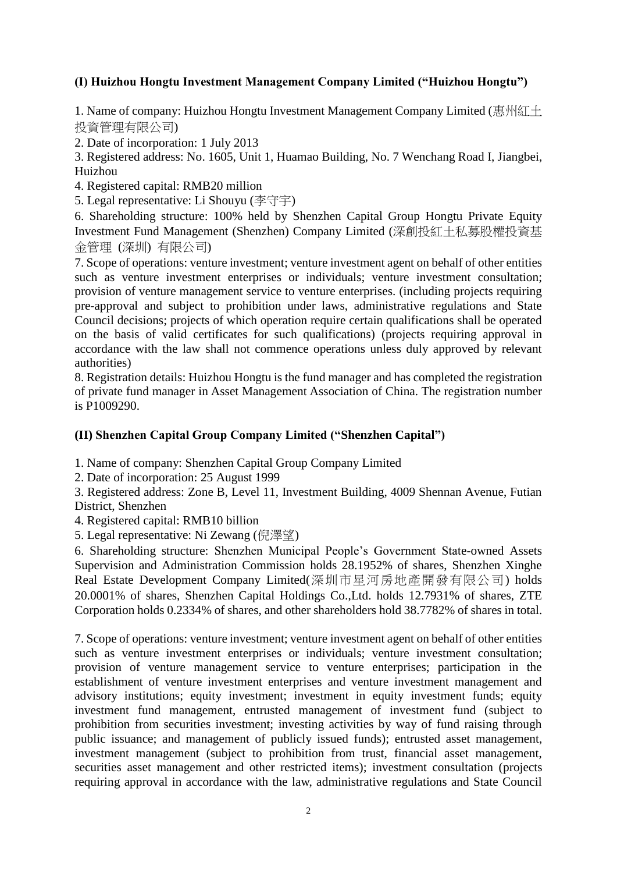# **(I) Huizhou Hongtu Investment Management Company Limited ("Huizhou Hongtu")**

1. Name of company: Huizhou Hongtu Investment Management Company Limited (惠州紅土 投資管理有限公司)

2. Date of incorporation: 1 July 2013

3. Registered address: No. 1605, Unit 1, Huamao Building, No. 7 Wenchang Road I, Jiangbei, Huizhou

4. Registered capital: RMB20 million

5. Legal representative: Li Shouyu (李守宇)

6. Shareholding structure: 100% held by Shenzhen Capital Group Hongtu Private Equity Investment Fund Management (Shenzhen) Company Limited (深創投紅土私募股權投資基 金管理 (深圳) 有限公司)

7. Scope of operations: venture investment; venture investment agent on behalf of other entities such as venture investment enterprises or individuals; venture investment consultation; provision of venture management service to venture enterprises. (including projects requiring pre-approval and subject to prohibition under laws, administrative regulations and State Council decisions; projects of which operation require certain qualifications shall be operated on the basis of valid certificates for such qualifications) (projects requiring approval in accordance with the law shall not commence operations unless duly approved by relevant authorities)

8. Registration details: Huizhou Hongtu is the fund manager and has completed the registration of private fund manager in Asset Management Association of China. The registration number is P1009290.

#### **(II) Shenzhen Capital Group Company Limited ("Shenzhen Capital")**

1. Name of company: Shenzhen Capital Group Company Limited

2. Date of incorporation: 25 August 1999

3. Registered address: Zone B, Level 11, Investment Building, 4009 Shennan Avenue, Futian District, Shenzhen

4. Registered capital: RMB10 billion

5. Legal representative: Ni Zewang (倪澤望)

6. Shareholding structure: Shenzhen Municipal People's Government State-owned Assets Supervision and Administration Commission holds 28.1952% of shares, Shenzhen Xinghe Real Estate Development Company Limited(深圳市星河房地產開發有限公司) holds 20.0001% of shares, Shenzhen Capital Holdings Co.,Ltd. holds 12.7931% of shares, ZTE Corporation holds 0.2334% of shares, and other shareholders hold 38.7782% of shares in total.

7. Scope of operations: venture investment; venture investment agent on behalf of other entities such as venture investment enterprises or individuals; venture investment consultation; provision of venture management service to venture enterprises; participation in the establishment of venture investment enterprises and venture investment management and advisory institutions; equity investment; investment in equity investment funds; equity investment fund management, entrusted management of investment fund (subject to prohibition from securities investment; investing activities by way of fund raising through public issuance; and management of publicly issued funds); entrusted asset management, investment management (subject to prohibition from trust, financial asset management, securities asset management and other restricted items); investment consultation (projects requiring approval in accordance with the law, administrative regulations and State Council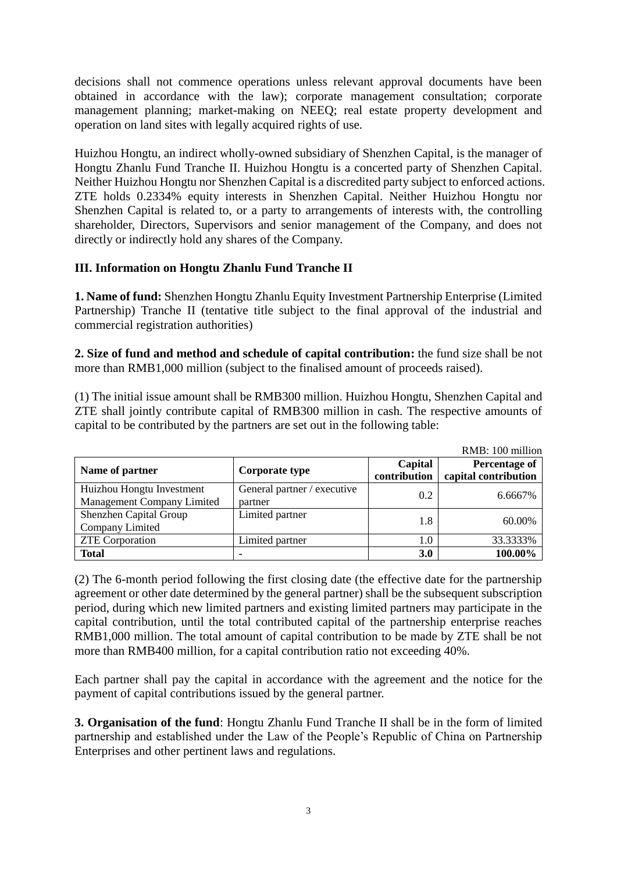decisions shall not commence operations unless relevant approval documents have been obtained in accordance with the law); corporate management consultation; corporate management planning; market-making on NEEQ; real estate property development and operation on land sites with legally acquired rights of use.

Huizhou Hongtu, an indirect wholly-owned subsidiary of Shenzhen Capital, is the manager of Hongtu Zhanlu Fund Tranche II. Huizhou Hongtu is a concerted party of Shenzhen Capital. Neither Huizhou Hongtu nor Shenzhen Capital is a discredited party subject to enforced actions. ZTE holds 0.2334% equity interests in Shenzhen Capital. Neither Huizhou Hongtu nor Shenzhen Capital is related to, or a party to arrangements of interests with, the controlling shareholder, Directors, Supervisors and senior management of the Company, and does not directly or indirectly hold any shares of the Company.

# **III. Information on Hongtu Zhanlu Fund Tranche II**

**1. Name of fund:** Shenzhen Hongtu Zhanlu Equity Investment Partnership Enterprise (Limited Partnership) Tranche II (tentative title subject to the final approval of the industrial and commercial registration authorities)

**2. Size of fund and method and schedule of capital contribution:** the fund size shall be not more than RMB1,000 million (subject to the finalised amount of proceeds raised).

(1) The initial issue amount shall be RMB300 million. Huizhou Hongtu, Shenzhen Capital and ZTE shall jointly contribute capital of RMB300 million in cash. The respective amounts of capital to be contributed by the partners are set out in the following table:

|                                                         |                                        |                         | RMB: 100 million                      |
|---------------------------------------------------------|----------------------------------------|-------------------------|---------------------------------------|
| Name of partner                                         | Corporate type                         | Capital<br>contribution | Percentage of<br>capital contribution |
| Huizhou Hongtu Investment<br>Management Company Limited | General partner / executive<br>partner | 0.2                     | 6.6667%                               |
| Shenzhen Capital Group<br>Company Limited               | Limited partner                        | 1.8                     | 60.00%                                |
| <b>ZTE</b> Corporation                                  | Limited partner                        | 1.0                     | 33.3333%                              |
| <b>Total</b>                                            |                                        | 3.0                     | 100.00%                               |

(2) The 6-month period following the first closing date (the effective date for the partnership agreement or other date determined by the general partner) shall be the subsequent subscription period, during which new limited partners and existing limited partners may participate in the capital contribution, until the total contributed capital of the partnership enterprise reaches RMB1,000 million. The total amount of capital contribution to be made by ZTE shall be not more than RMB400 million, for a capital contribution ratio not exceeding 40%.

Each partner shall pay the capital in accordance with the agreement and the notice for the payment of capital contributions issued by the general partner.

**3. Organisation of the fund**: Hongtu Zhanlu Fund Tranche II shall be in the form of limited partnership and established under the Law of the People's Republic of China on Partnership Enterprises and other pertinent laws and regulations.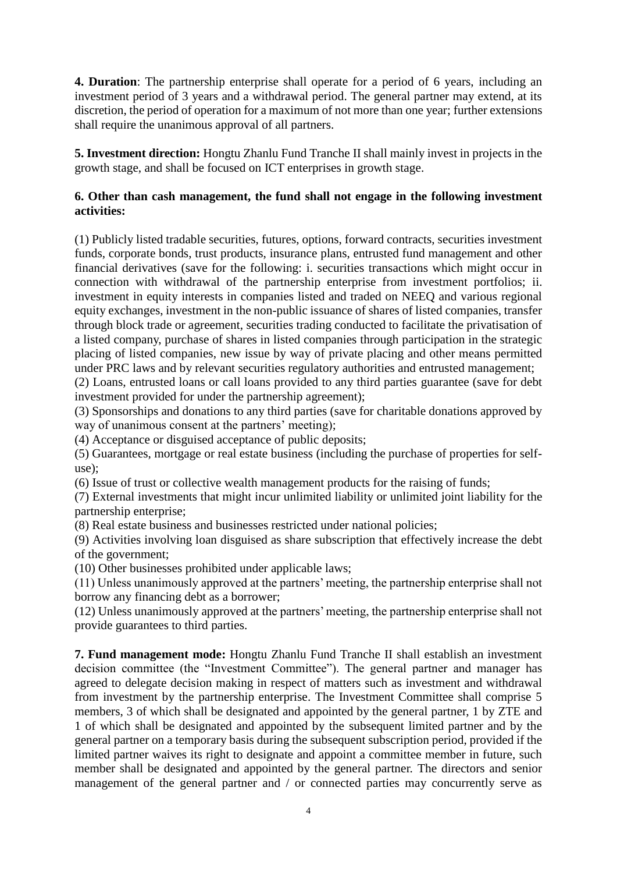**4. Duration**: The partnership enterprise shall operate for a period of 6 years, including an investment period of 3 years and a withdrawal period. The general partner may extend, at its discretion, the period of operation for a maximum of not more than one year; further extensions shall require the unanimous approval of all partners.

**5. Investment direction:** Hongtu Zhanlu Fund Tranche II shall mainly invest in projects in the growth stage, and shall be focused on ICT enterprises in growth stage.

#### **6. Other than cash management, the fund shall not engage in the following investment activities:**

(1) Publicly listed tradable securities, futures, options, forward contracts, securities investment funds, corporate bonds, trust products, insurance plans, entrusted fund management and other financial derivatives (save for the following: i. securities transactions which might occur in connection with withdrawal of the partnership enterprise from investment portfolios; ii. investment in equity interests in companies listed and traded on NEEQ and various regional equity exchanges, investment in the non-public issuance of shares of listed companies, transfer through block trade or agreement, securities trading conducted to facilitate the privatisation of a listed company, purchase of shares in listed companies through participation in the strategic placing of listed companies, new issue by way of private placing and other means permitted under PRC laws and by relevant securities regulatory authorities and entrusted management;

(2) Loans, entrusted loans or call loans provided to any third parties guarantee (save for debt investment provided for under the partnership agreement);

(3) Sponsorships and donations to any third parties (save for charitable donations approved by way of unanimous consent at the partners' meeting);

(4) Acceptance or disguised acceptance of public deposits;

(5) Guarantees, mortgage or real estate business (including the purchase of properties for selfuse);

(6) Issue of trust or collective wealth management products for the raising of funds;

(7) External investments that might incur unlimited liability or unlimited joint liability for the partnership enterprise;

(8) Real estate business and businesses restricted under national policies;

(9) Activities involving loan disguised as share subscription that effectively increase the debt of the government;

(10) Other businesses prohibited under applicable laws;

(11) Unless unanimously approved at the partners' meeting, the partnership enterprise shall not borrow any financing debt as a borrower;

(12) Unless unanimously approved at the partners' meeting, the partnership enterprise shall not provide guarantees to third parties.

**7. Fund management mode:** Hongtu Zhanlu Fund Tranche II shall establish an investment decision committee (the "Investment Committee"). The general partner and manager has agreed to delegate decision making in respect of matters such as investment and withdrawal from investment by the partnership enterprise. The Investment Committee shall comprise 5 members, 3 of which shall be designated and appointed by the general partner, 1 by ZTE and 1 of which shall be designated and appointed by the subsequent limited partner and by the general partner on a temporary basis during the subsequent subscription period, provided if the limited partner waives its right to designate and appoint a committee member in future, such member shall be designated and appointed by the general partner. The directors and senior management of the general partner and / or connected parties may concurrently serve as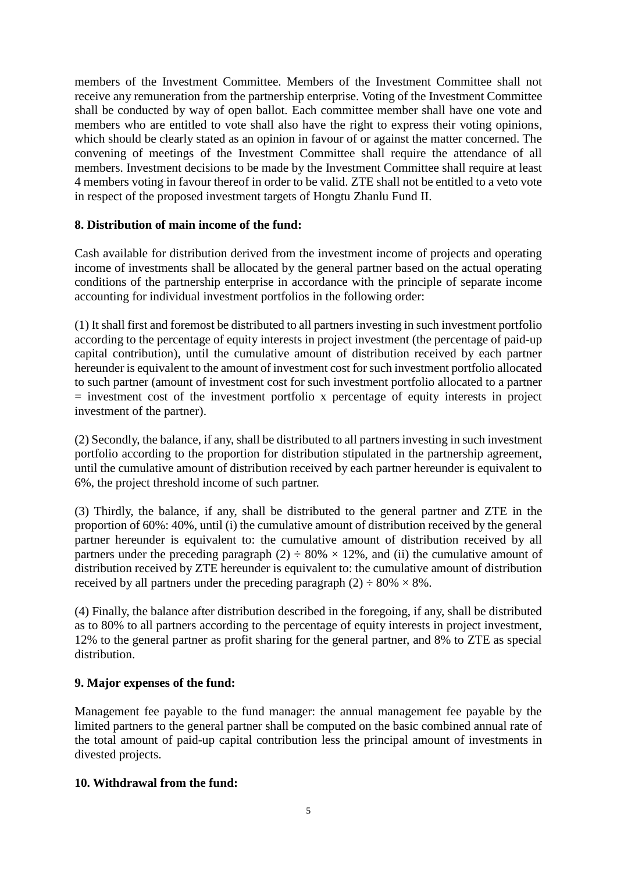members of the Investment Committee. Members of the Investment Committee shall not receive any remuneration from the partnership enterprise. Voting of the Investment Committee shall be conducted by way of open ballot. Each committee member shall have one vote and members who are entitled to vote shall also have the right to express their voting opinions, which should be clearly stated as an opinion in favour of or against the matter concerned. The convening of meetings of the Investment Committee shall require the attendance of all members. Investment decisions to be made by the Investment Committee shall require at least 4 members voting in favour thereof in order to be valid. ZTE shall not be entitled to a veto vote in respect of the proposed investment targets of Hongtu Zhanlu Fund II.

# **8. Distribution of main income of the fund:**

Cash available for distribution derived from the investment income of projects and operating income of investments shall be allocated by the general partner based on the actual operating conditions of the partnership enterprise in accordance with the principle of separate income accounting for individual investment portfolios in the following order:

(1) It shall first and foremost be distributed to all partners investing in such investment portfolio according to the percentage of equity interests in project investment (the percentage of paid-up capital contribution), until the cumulative amount of distribution received by each partner hereunder is equivalent to the amount of investment cost for such investment portfolio allocated to such partner (amount of investment cost for such investment portfolio allocated to a partner  $=$  investment cost of the investment portfolio x percentage of equity interests in project investment of the partner).

(2) Secondly, the balance, if any, shall be distributed to all partners investing in such investment portfolio according to the proportion for distribution stipulated in the partnership agreement, until the cumulative amount of distribution received by each partner hereunder is equivalent to 6%, the project threshold income of such partner.

(3) Thirdly, the balance, if any, shall be distributed to the general partner and ZTE in the proportion of 60%: 40%, until (i) the cumulative amount of distribution received by the general partner hereunder is equivalent to: the cumulative amount of distribution received by all partners under the preceding paragraph (2)  $\div 80\% \times 12\%$ , and (ii) the cumulative amount of distribution received by ZTE hereunder is equivalent to: the cumulative amount of distribution received by all partners under the preceding paragraph  $(2) \div 80\% \times 8\%$ .

(4) Finally, the balance after distribution described in the foregoing, if any, shall be distributed as to 80% to all partners according to the percentage of equity interests in project investment, 12% to the general partner as profit sharing for the general partner, and 8% to ZTE as special distribution.

# **9. Major expenses of the fund:**

Management fee payable to the fund manager: the annual management fee payable by the limited partners to the general partner shall be computed on the basic combined annual rate of the total amount of paid-up capital contribution less the principal amount of investments in divested projects.

# **10. Withdrawal from the fund:**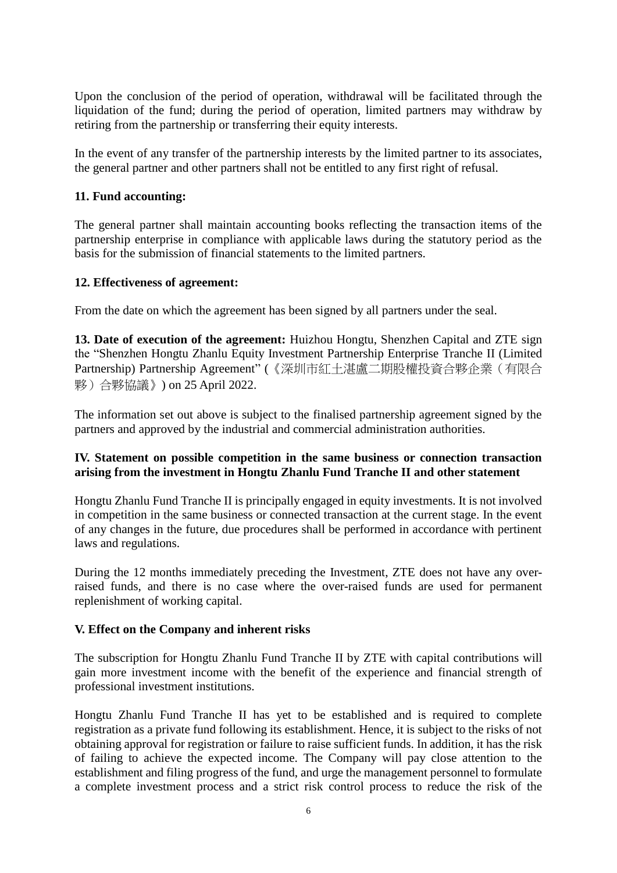Upon the conclusion of the period of operation, withdrawal will be facilitated through the liquidation of the fund; during the period of operation, limited partners may withdraw by retiring from the partnership or transferring their equity interests.

In the event of any transfer of the partnership interests by the limited partner to its associates, the general partner and other partners shall not be entitled to any first right of refusal.

#### **11. Fund accounting:**

The general partner shall maintain accounting books reflecting the transaction items of the partnership enterprise in compliance with applicable laws during the statutory period as the basis for the submission of financial statements to the limited partners.

#### **12. Effectiveness of agreement:**

From the date on which the agreement has been signed by all partners under the seal.

**13. Date of execution of the agreement:** Huizhou Hongtu, Shenzhen Capital and ZTE sign the "Shenzhen Hongtu Zhanlu Equity Investment Partnership Enterprise Tranche II (Limited Partnership) Partnership Agreement" (《深圳市紅土湛盧二期股權投資合夥企業(有限合 夥)合夥協議》) on 25 April 2022.

The information set out above is subject to the finalised partnership agreement signed by the partners and approved by the industrial and commercial administration authorities.

# **IV. Statement on possible competition in the same business or connection transaction arising from the investment in Hongtu Zhanlu Fund Tranche II and other statement**

Hongtu Zhanlu Fund Tranche II is principally engaged in equity investments. It is not involved in competition in the same business or connected transaction at the current stage. In the event of any changes in the future, due procedures shall be performed in accordance with pertinent laws and regulations.

During the 12 months immediately preceding the Investment, ZTE does not have any overraised funds, and there is no case where the over-raised funds are used for permanent replenishment of working capital.

#### **V. Effect on the Company and inherent risks**

The subscription for Hongtu Zhanlu Fund Tranche II by ZTE with capital contributions will gain more investment income with the benefit of the experience and financial strength of professional investment institutions.

Hongtu Zhanlu Fund Tranche II has yet to be established and is required to complete registration as a private fund following its establishment. Hence, it is subject to the risks of not obtaining approval for registration or failure to raise sufficient funds. In addition, it has the risk of failing to achieve the expected income. The Company will pay close attention to the establishment and filing progress of the fund, and urge the management personnel to formulate a complete investment process and a strict risk control process to reduce the risk of the